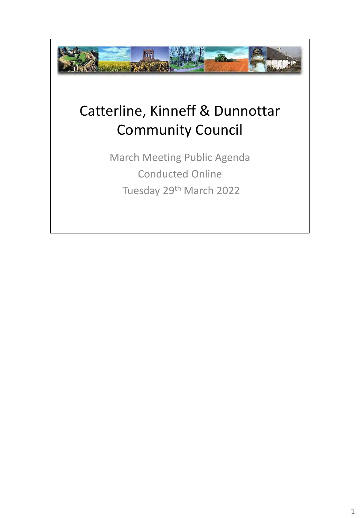

## Catterline, Kinneff & Dunnottar Community Council

March Meeting Public Agenda Conducted Online Tuesday 29th March 2022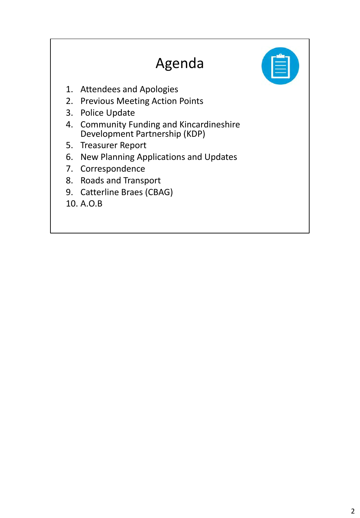### Agenda



- 1. Attendees and Apologies
- 2. Previous Meeting Action Points
- 3. Police Update
- 4. Community Funding and Kincardineshire Development Partnership (KDP)
- 5. Treasurer Report
- 6. New Planning Applications and Updates
- 7. Correspondence
- 8. Roads and Transport
- 9. Catterline Braes (CBAG)

10. A.O.B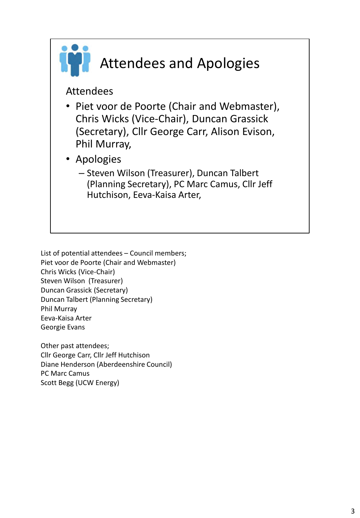

List of potential attendees – Council members; Piet voor de Poorte (Chair and Webmaster) Chris Wicks (Vice-Chair) Steven Wilson (Treasurer) Duncan Grassick (Secretary) Duncan Talbert (Planning Secretary) Phil Murray Eeva-Kaisa Arter Georgie Evans

Other past attendees; Cllr George Carr, Cllr Jeff Hutchison Diane Henderson (Aberdeenshire Council) PC Marc Camus Scott Begg (UCW Energy)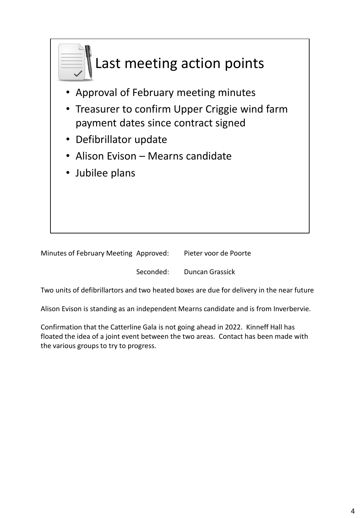

| Minutes of February Meeting Approved: | Pieter voor de Poorte |
|---------------------------------------|-----------------------|
|                                       |                       |

Seconded: Duncan Grassick

Two units of defibrillartors and two heated boxes are due for delivery in the near future

Alison Evison is standing as an independent Mearns candidate and is from Inverbervie.

Confirmation that the Catterline Gala is not going ahead in 2022. Kinneff Hall has floated the idea of a joint event between the two areas. Contact has been made with the various groups to try to progress.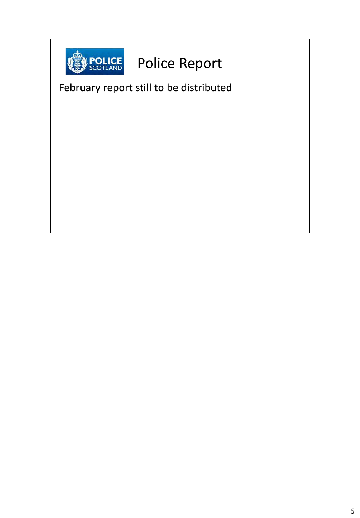

## Police Report

February report still to be distributed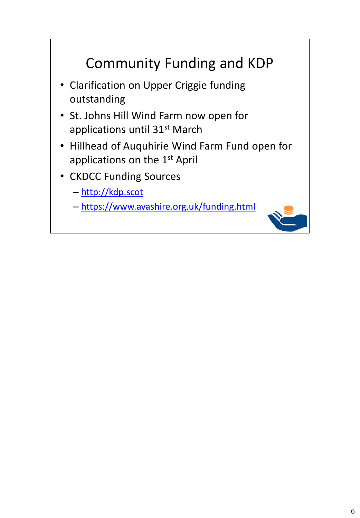#### Community Funding and KDP

- Clarification on Upper Criggie funding outstanding
- St. Johns Hill Wind Farm now open for applications until 31<sup>st</sup> March
- Hillhead of Auquhirie Wind Farm Fund open for applications on the 1<sup>st</sup> April
- CKDCC Funding Sources
	- http://kdp.scot
	- https://www.avashire.org.uk/funding.html

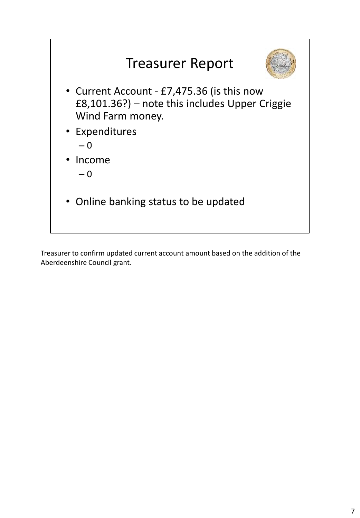

Treasurer to confirm updated current account amount based on the addition of the Aberdeenshire Council grant.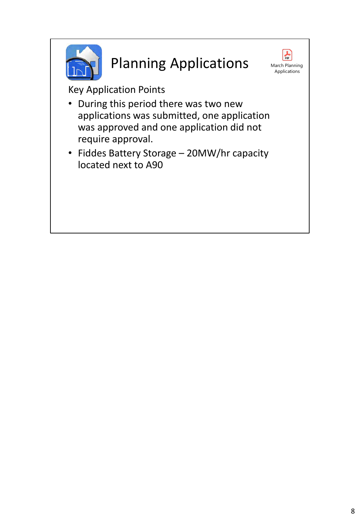

## Planning Applications



Key Application Points

- During this period there was two new applications was submitted, one application was approved and one application did not require approval.
- Fiddes Battery Storage 20MW/hr capacity located next to A90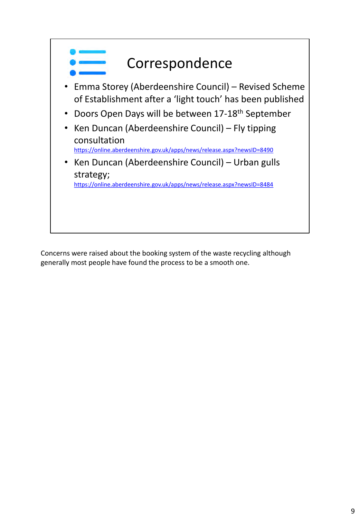

Concerns were raised about the booking system of the waste recycling although generally most people have found the process to be a smooth one.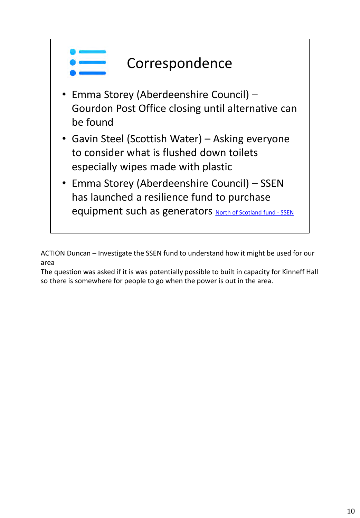

ACTION Duncan – Investigate the SSEN fund to understand how it might be used for our area

The question was asked if it is was potentially possible to built in capacity for Kinneff Hall so there is somewhere for people to go when the power is out in the area.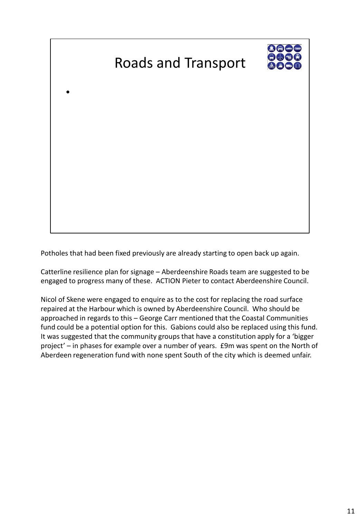# Roads and Transport

•



Potholes that had been fixed previously are already starting to open back up again.

Catterline resilience plan for signage – Aberdeenshire Roads team are suggested to be engaged to progress many of these. ACTION Pieter to contact Aberdeenshire Council.

Nicol of Skene were engaged to enquire as to the cost for replacing the road surface repaired at the Harbour which is owned by Aberdeenshire Council. Who should be approached in regards to this – George Carr mentioned that the Coastal Communities fund could be a potential option for this. Gabions could also be replaced using this fund. It was suggested that the community groups that have a constitution apply for a 'bigger project' – in phases for example over a number of years. £9m was spent on the North of Aberdeen regeneration fund with none spent South of the city which is deemed unfair.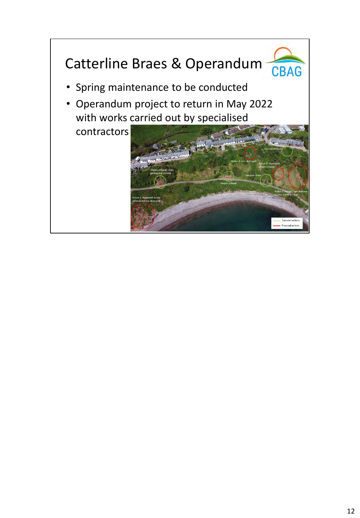